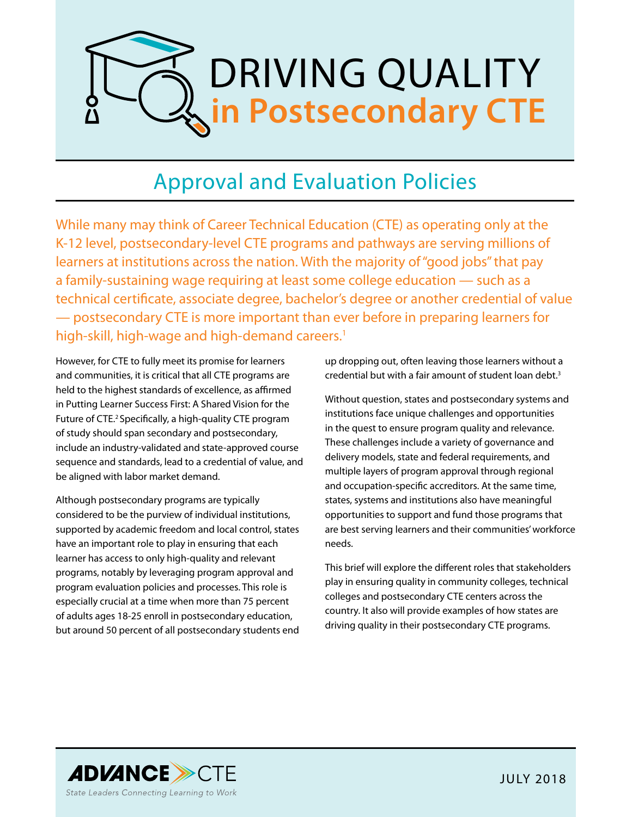

# Approval and Evaluation Policies

While many may think of Career Technical Education (CTE) as operating only at the K-12 level, postsecondary-level CTE programs and pathways are serving millions of learners at institutions across the nation. With the majority of "good jobs" that pay a family-sustaining wage requiring at least some college education — such as a technical certificate, associate degree, bachelor's degree or another credential of value — postsecondary CTE is more important than ever before in preparing learners for high-skill, high-wage and high-demand careers.<sup>1</sup>

However, for CTE to fully meet its promise for learners and communities, it is critical that all CTE programs are held to the highest standards of excellence, as affirmed in Putting Learner Success First: A Shared Vision for the Future of CTE.<sup>2</sup> Specifically, a high-quality CTE program of study should span secondary and postsecondary, include an industry-validated and state-approved course sequence and standards, lead to a credential of value, and be aligned with labor market demand.

Although postsecondary programs are typically considered to be the purview of individual institutions, supported by academic freedom and local control, states have an important role to play in ensuring that each learner has access to only high-quality and relevant programs, notably by leveraging program approval and program evaluation policies and processes. This role is especially crucial at a time when more than 75 percent of adults ages 18-25 enroll in postsecondary education, but around 50 percent of all postsecondary students end up dropping out, often leaving those learners without a credential but with a fair amount of student loan debt.<sup>3</sup>

Without question, states and postsecondary systems and institutions face unique challenges and opportunities in the quest to ensure program quality and relevance. These challenges include a variety of governance and delivery models, state and federal requirements, and multiple layers of program approval through regional and occupation-specific accreditors. At the same time, states, systems and institutions also have meaningful opportunities to support and fund those programs that are best serving learners and their communities' workforce needs.

This brief will explore the different roles that stakeholders play in ensuring quality in community colleges, technical colleges and postsecondary CTE centers across the country. It also will provide examples of how states are driving quality in their postsecondary CTE programs.

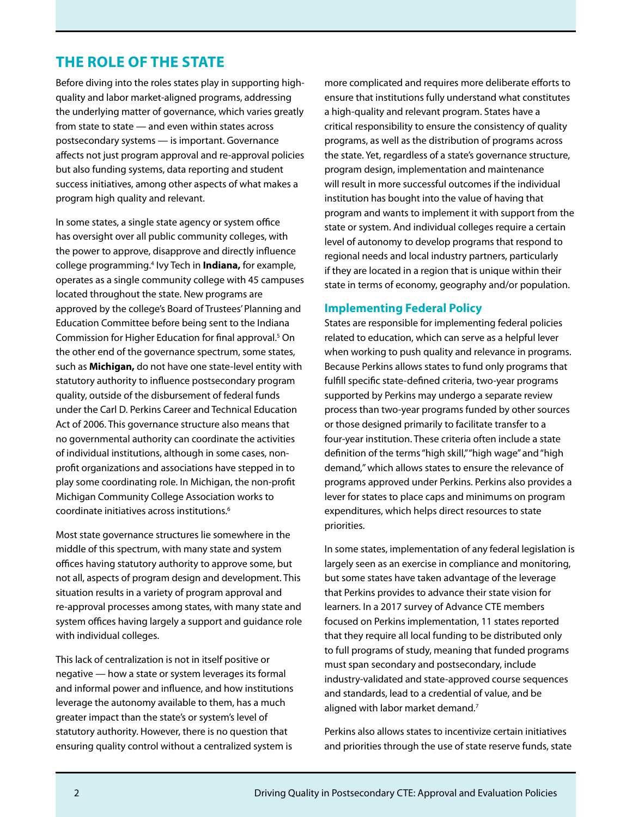### **THE ROLE OF THE STATE**

Before diving into the roles states play in supporting highquality and labor market-aligned programs, addressing the underlying matter of governance, which varies greatly from state to state — and even within states across postsecondary systems — is important. Governance affects not just program approval and re-approval policies but also funding systems, data reporting and student success initiatives, among other aspects of what makes a program high quality and relevant.

In some states, a single state agency or system office has oversight over all public community colleges, with the power to approve, disapprove and directly influence college programming.4 Ivy Tech in **Indiana,** for example, operates as a single community college with 45 campuses located throughout the state. New programs are approved by the college's Board of Trustees' Planning and Education Committee before being sent to the Indiana Commission for Higher Education for final approval.<sup>5</sup> On the other end of the governance spectrum, some states, such as **Michigan,** do not have one state-level entity with statutory authority to influence postsecondary program quality, outside of the disbursement of federal funds under the Carl D. Perkins Career and Technical Education Act of 2006. This governance structure also means that no governmental authority can coordinate the activities of individual institutions, although in some cases, nonprofit organizations and associations have stepped in to play some coordinating role. In Michigan, the non-profit Michigan Community College Association works to coordinate initiatives across institutions.6

Most state governance structures lie somewhere in the middle of this spectrum, with many state and system offices having statutory authority to approve some, but not all, aspects of program design and development. This situation results in a variety of program approval and re-approval processes among states, with many state and system offices having largely a support and guidance role with individual colleges.

This lack of centralization is not in itself positive or negative — how a state or system leverages its formal and informal power and influence, and how institutions leverage the autonomy available to them, has a much greater impact than the state's or system's level of statutory authority. However, there is no question that ensuring quality control without a centralized system is more complicated and requires more deliberate efforts to ensure that institutions fully understand what constitutes a high-quality and relevant program. States have a critical responsibility to ensure the consistency of quality programs, as well as the distribution of programs across the state. Yet, regardless of a state's governance structure, program design, implementation and maintenance will result in more successful outcomes if the individual institution has bought into the value of having that program and wants to implement it with support from the state or system. And individual colleges require a certain level of autonomy to develop programs that respond to regional needs and local industry partners, particularly if they are located in a region that is unique within their state in terms of economy, geography and/or population.

#### **Implementing Federal Policy**

States are responsible for implementing federal policies related to education, which can serve as a helpful lever when working to push quality and relevance in programs. Because Perkins allows states to fund only programs that fulfill specific state-defined criteria, two-year programs supported by Perkins may undergo a separate review process than two-year programs funded by other sources or those designed primarily to facilitate transfer to a four-year institution. These criteria often include a state definition of the terms "high skill," "high wage" and "high demand*,"* which allows states to ensure the relevance of programs approved under Perkins. Perkins also provides a lever for states to place caps and minimums on program expenditures, which helps direct resources to state priorities.

In some states, implementation of any federal legislation is largely seen as an exercise in compliance and monitoring, but some states have taken advantage of the leverage that Perkins provides to advance their state vision for learners. In a 2017 survey of Advance CTE members focused on Perkins implementation, 11 states reported that they require all local funding to be distributed only to full programs of study, meaning that funded programs must span secondary and postsecondary, include industry-validated and state-approved course sequences and standards, lead to a credential of value, and be aligned with labor market demand.<sup>7</sup>

Perkins also allows states to incentivize certain initiatives and priorities through the use of state reserve funds, state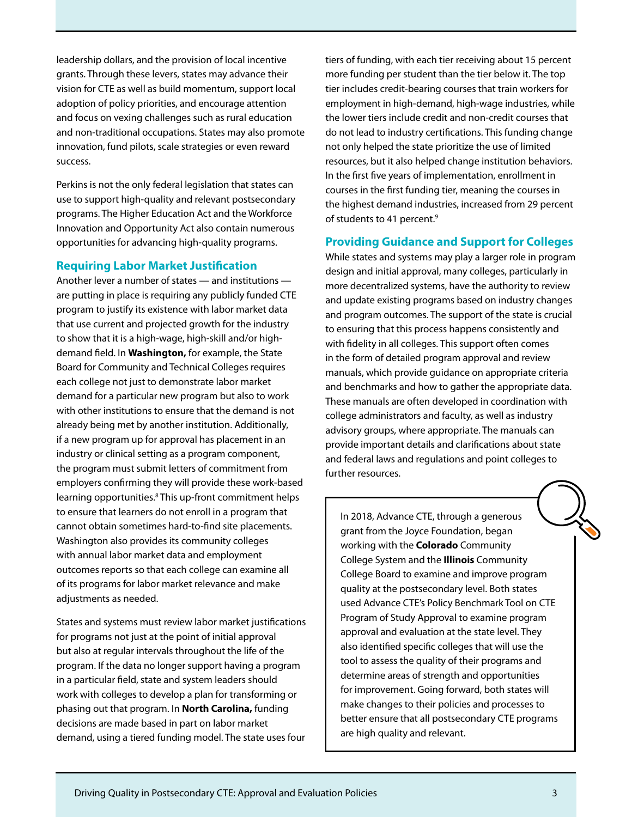leadership dollars, and the provision of local incentive grants. Through these levers, states may advance their vision for CTE as well as build momentum, support local adoption of policy priorities, and encourage attention and focus on vexing challenges such as rural education and non-traditional occupations. States may also promote innovation, fund pilots, scale strategies or even reward success.

Perkins is not the only federal legislation that states can use to support high-quality and relevant postsecondary programs. The Higher Education Act and the Workforce Innovation and Opportunity Act also contain numerous opportunities for advancing high-quality programs.

#### **Requiring Labor Market Justification**

Another lever a number of states — and institutions are putting in place is requiring any publicly funded CTE program to justify its existence with labor market data that use current and projected growth for the industry to show that it is a high-wage, high-skill and/or highdemand field. In **Washington,** for example, the State Board for Community and Technical Colleges requires each college not just to demonstrate labor market demand for a particular new program but also to work with other institutions to ensure that the demand is not already being met by another institution. Additionally, if a new program up for approval has placement in an industry or clinical setting as a program component, the program must submit letters of commitment from employers confirming they will provide these work-based learning opportunities.<sup>8</sup> This up-front commitment helps to ensure that learners do not enroll in a program that cannot obtain sometimes hard-to-find site placements. Washington also provides its community colleges with annual labor market data and employment outcomes reports so that each college can examine all of its programs for labor market relevance and make adjustments as needed.

States and systems must review labor market justifications for programs not just at the point of initial approval but also at regular intervals throughout the life of the program. If the data no longer support having a program in a particular field, state and system leaders should work with colleges to develop a plan for transforming or phasing out that program. In **North Carolina,** funding decisions are made based in part on labor market demand, using a tiered funding model. The state uses four

tiers of funding, with each tier receiving about 15 percent more funding per student than the tier below it. The top tier includes credit-bearing courses that train workers for employment in high-demand, high-wage industries, while the lower tiers include credit and non-credit courses that do not lead to industry certifications. This funding change not only helped the state prioritize the use of limited resources, but it also helped change institution behaviors. In the first five years of implementation, enrollment in courses in the first funding tier, meaning the courses in the highest demand industries, increased from 29 percent of students to 41 percent.<sup>9</sup>

#### **Providing Guidance and Support for Colleges**

While states and systems may play a larger role in program design and initial approval, many colleges, particularly in more decentralized systems, have the authority to review and update existing programs based on industry changes and program outcomes. The support of the state is crucial to ensuring that this process happens consistently and with fidelity in all colleges. This support often comes in the form of detailed program approval and review manuals, which provide guidance on appropriate criteria and benchmarks and how to gather the appropriate data. These manuals are often developed in coordination with college administrators and faculty, as well as industry advisory groups, where appropriate. The manuals can provide important details and clarifications about state and federal laws and regulations and point colleges to further resources.

In 2018, Advance CTE, through a generous grant from the Joyce Foundation, began working with the **Colorado** Community College System and the **Illinois** Community College Board to examine and improve program quality at the postsecondary level. Both states used Advance CTE's Policy Benchmark Tool on CTE Program of Study Approval to examine program approval and evaluation at the state level. They also identified specific colleges that will use the tool to assess the quality of their programs and determine areas of strength and opportunities for improvement. Going forward, both states will make changes to their policies and processes to better ensure that all postsecondary CTE programs are high quality and relevant.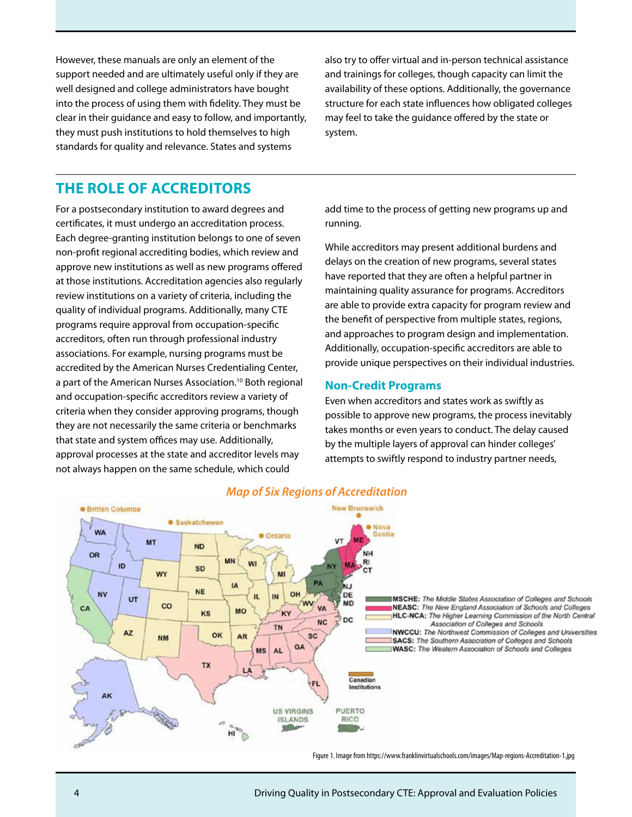However, these manuals are only an element of the support needed and are ultimately useful only if they are well designed and college administrators have bought into the process of using them with fidelity. They must be clear in their guidance and easy to follow, and importantly, they must push institutions to hold themselves to high standards for quality and relevance. States and systems

also try to offer virtual and in-person technical assistance and trainings for colleges, though capacity can limit the availability of these options. Additionally, the governance structure for each state influences how obligated colleges may feel to take the guidance offered by the state or system.

### **THE ROLE OF ACCREDITORS**

For a postsecondary institution to award degrees and certificates, it must undergo an accreditation process. Each degree-granting institution belongs to one of seven non-profit regional accrediting bodies, which review and approve new institutions as well as new programs offered at those institutions. Accreditation agencies also regularly review institutions on a variety of criteria, including the quality of individual programs. Additionally, many CTE programs require approval from occupation-specific accreditors, often run through professional industry associations. For example, nursing programs must be accredited by the American Nurses Credentialing Center, a part of the American Nurses Association.<sup>10</sup> Both regional and occupation-specific accreditors review a variety of criteria when they consider approving programs, though they are not necessarily the same criteria or benchmarks that state and system offices may use. Additionally, approval processes at the state and accreditor levels may not always happen on the same schedule, which could

add time to the process of getting new programs up and running.

While accreditors may present additional burdens and delays on the creation of new programs, several states have reported that they are often a helpful partner in maintaining quality assurance for programs. Accreditors are able to provide extra capacity for program review and the benefit of perspective from multiple states, regions, and approaches to program design and implementation. Additionally, occupation-specific accreditors are able to provide unique perspectives on their individual industries.

#### **Non-Credit Programs**

Even when accreditors and states work as swiftly as possible to approve new programs, the process inevitably takes months or even years to conduct. The delay caused by the multiple layers of approval can hinder colleges' attempts to swiftly respond to industry partner needs,



#### Figure 1. Image from https://www.franklinvirtualschools.com/images/Map-regions-Accreditation-1.jpg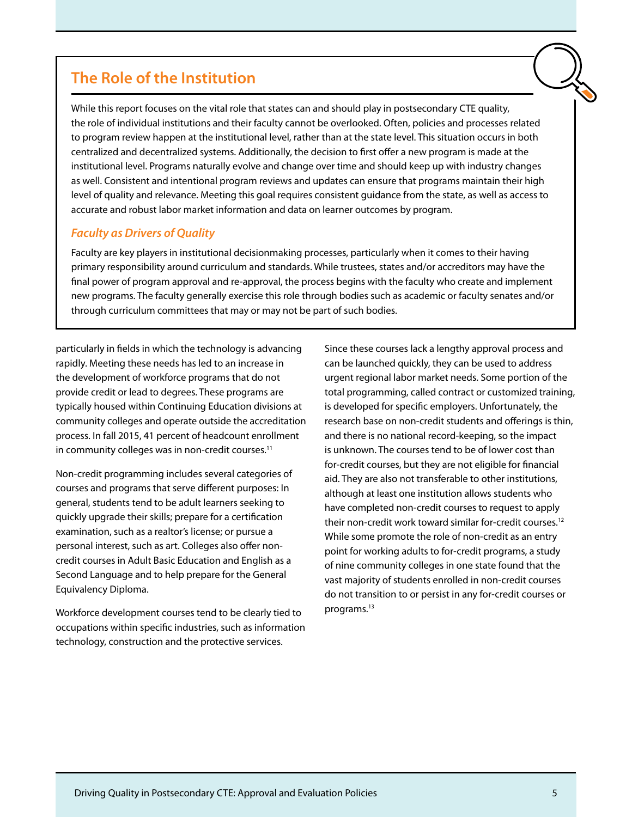## **The Role of the Institution**

While this report focuses on the vital role that states can and should play in postsecondary CTE quality, the role of individual institutions and their faculty cannot be overlooked. Often, policies and processes related to program review happen at the institutional level, rather than at the state level. This situation occurs in both centralized and decentralized systems. Additionally, the decision to first offer a new program is made at the institutional level. Programs naturally evolve and change over time and should keep up with industry changes as well. Consistent and intentional program reviews and updates can ensure that programs maintain their high level of quality and relevance. Meeting this goal requires consistent guidance from the state, as well as access to accurate and robust labor market information and data on learner outcomes by program.

#### *Faculty as Drivers of Quality*

Faculty are key players in institutional decisionmaking processes, particularly when it comes to their having primary responsibility around curriculum and standards. While trustees, states and/or accreditors may have the final power of program approval and re-approval, the process begins with the faculty who create and implement new programs. The faculty generally exercise this role through bodies such as academic or faculty senates and/or through curriculum committees that may or may not be part of such bodies.

particularly in fields in which the technology is advancing rapidly. Meeting these needs has led to an increase in the development of workforce programs that do not provide credit or lead to degrees. These programs are typically housed within Continuing Education divisions at community colleges and operate outside the accreditation process. In fall 2015, 41 percent of headcount enrollment in community colleges was in non-credit courses.<sup>11</sup>

Non-credit programming includes several categories of courses and programs that serve different purposes: In general, students tend to be adult learners seeking to quickly upgrade their skills; prepare for a certification examination, such as a realtor's license; or pursue a personal interest, such as art. Colleges also offer noncredit courses in Adult Basic Education and English as a Second Language and to help prepare for the General Equivalency Diploma.

Workforce development courses tend to be clearly tied to occupations within specific industries, such as information technology, construction and the protective services.

Since these courses lack a lengthy approval process and can be launched quickly, they can be used to address urgent regional labor market needs. Some portion of the total programming, called contract or customized training, is developed for specific employers. Unfortunately, the research base on non-credit students and offerings is thin, and there is no national record-keeping, so the impact is unknown. The courses tend to be of lower cost than for-credit courses, but they are not eligible for financial aid. They are also not transferable to other institutions, although at least one institution allows students who have completed non-credit courses to request to apply their non-credit work toward similar for-credit courses.<sup>12</sup> While some promote the role of non-credit as an entry point for working adults to for-credit programs, a study of nine community colleges in one state found that the vast majority of students enrolled in non-credit courses do not transition to or persist in any for-credit courses or programs.13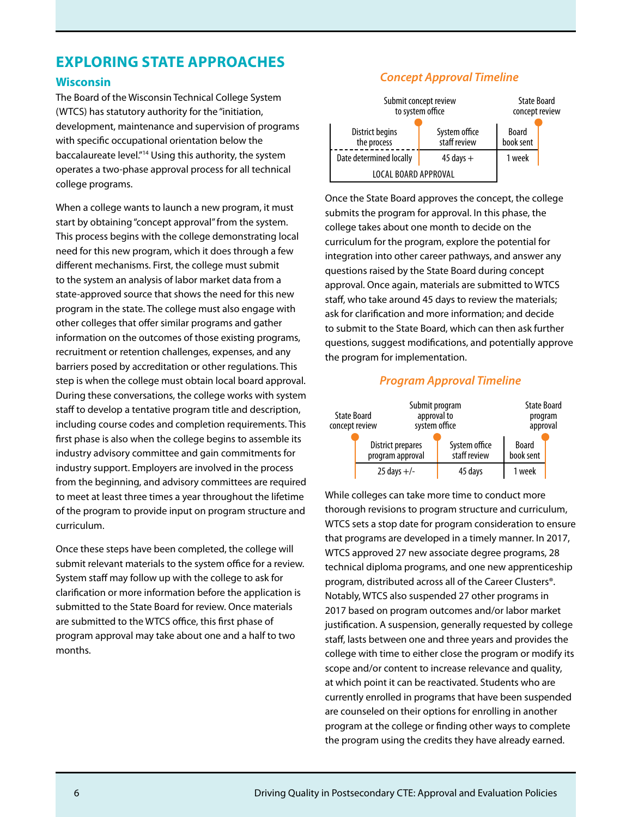### **EXPLORING STATE APPROACHES**

#### **Wisconsin**

The Board of the Wisconsin Technical College System (WTCS) has statutory authority for the "initiation, development, maintenance and supervision of programs with specific occupational orientation below the baccalaureate level."14 Using this authority, the system operates a two-phase approval process for all technical college programs.

When a college wants to launch a new program, it must start by obtaining "concept approval" from the system. This process begins with the college demonstrating local need for this new program, which it does through a few different mechanisms. First, the college must submit to the system an analysis of labor market data from a state-approved source that shows the need for this new program in the state. The college must also engage with other colleges that offer similar programs and gather information on the outcomes of those existing programs, recruitment or retention challenges, expenses, and any barriers posed by accreditation or other regulations. This step is when the college must obtain local board approval. During these conversations, the college works with system staff to develop a tentative program title and description, including course codes and completion requirements. This first phase is also when the college begins to assemble its industry advisory committee and gain commitments for industry support. Employers are involved in the process from the beginning, and advisory committees are required to meet at least three times a year throughout the lifetime of the program to provide input on program structure and curriculum.

Once these steps have been completed, the college will submit relevant materials to the system office for a review. System staff may follow up with the college to ask for clarification or more information before the application is submitted to the State Board for review. Once materials are submitted to the WTCS office, this first phase of program approval may take about one and a half to two months.

#### *Concept Approval Timeline*

| Submit concept review<br>to system office | <b>State Board</b><br>concept review |                           |  |
|-------------------------------------------|--------------------------------------|---------------------------|--|
| District begins<br>the process            | System office<br>staff review        | <b>Board</b><br>book sent |  |
| Date determined locally                   | $45$ days $+$                        | 1 week                    |  |
| LOCAL BOARD APPROVAL                      |                                      |                           |  |

Once the State Board approves the concept, the college submits the program for approval. In this phase, the college takes about one month to decide on the curriculum for the program, explore the potential for integration into other career pathways, and answer any questions raised by the State Board during concept approval. Once again, materials are submitted to WTCS staff, who take around 45 days to review the materials; ask for clarification and more information; and decide to submit to the State Board, which can then ask further questions, suggest modifications, and potentially approve the program for implementation.

#### *Program Approval Timeline*



While colleges can take more time to conduct more thorough revisions to program structure and curriculum, WTCS sets a stop date for program consideration to ensure that programs are developed in a timely manner. In 2017, WTCS approved 27 new associate degree programs, 28 technical diploma programs, and one new apprenticeship program, distributed across all of the Career Clusters®. Notably, WTCS also suspended 27 other programs in 2017 based on program outcomes and/or labor market justification. A suspension, generally requested by college staff, lasts between one and three years and provides the college with time to either close the program or modify its scope and/or content to increase relevance and quality, at which point it can be reactivated. Students who are currently enrolled in programs that have been suspended are counseled on their options for enrolling in another program at the college or finding other ways to complete the program using the credits they have already earned.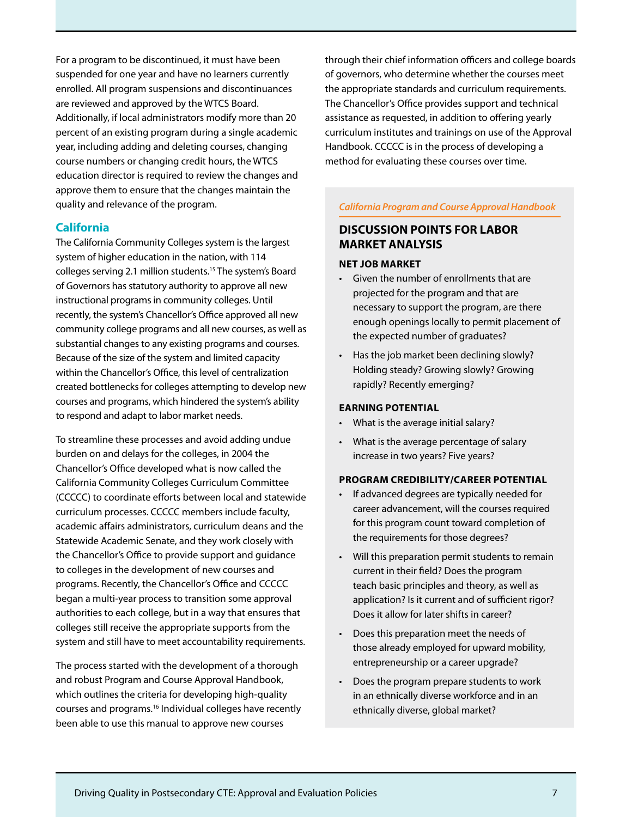For a program to be discontinued, it must have been suspended for one year and have no learners currently enrolled. All program suspensions and discontinuances are reviewed and approved by the WTCS Board. Additionally, if local administrators modify more than 20 percent of an existing program during a single academic year, including adding and deleting courses, changing course numbers or changing credit hours, the WTCS education director is required to review the changes and approve them to ensure that the changes maintain the quality and relevance of the program.

#### **California**

The California Community Colleges system is the largest system of higher education in the nation, with 114 colleges serving 2.1 million students.15 The system's Board of Governors has statutory authority to approve all new instructional programs in community colleges. Until recently, the system's Chancellor's Office approved all new community college programs and all new courses, as well as substantial changes to any existing programs and courses. Because of the size of the system and limited capacity within the Chancellor's Office, this level of centralization created bottlenecks for colleges attempting to develop new courses and programs, which hindered the system's ability to respond and adapt to labor market needs.

To streamline these processes and avoid adding undue burden on and delays for the colleges, in 2004 the Chancellor's Office developed what is now called the California Community Colleges Curriculum Committee (CCCCC) to coordinate efforts between local and statewide curriculum processes. CCCCC members include faculty, academic affairs administrators, curriculum deans and the Statewide Academic Senate, and they work closely with the Chancellor's Office to provide support and guidance to colleges in the development of new courses and programs. Recently, the Chancellor's Office and CCCCC began a multi-year process to transition some approval authorities to each college, but in a way that ensures that colleges still receive the appropriate supports from the system and still have to meet accountability requirements.

The process started with the development of a thorough and robust Program and Course Approval Handbook, which outlines the criteria for developing high-quality courses and programs.16 Individual colleges have recently been able to use this manual to approve new courses

through their chief information officers and college boards of governors, who determine whether the courses meet the appropriate standards and curriculum requirements. The Chancellor's Office provides support and technical assistance as requested, in addition to offering yearly curriculum institutes and trainings on use of the Approval Handbook. CCCCC is in the process of developing a method for evaluating these courses over time.

*California Program and Course Approval Handbook* 

### **DISCUSSION POINTS FOR LABOR MARKET ANALYSIS**

#### **NET JOB MARKET**

- Given the number of enrollments that are projected for the program and that are necessary to support the program, are there enough openings locally to permit placement of the expected number of graduates?
- Has the job market been declining slowly? Holding steady? Growing slowly? Growing rapidly? Recently emerging?

#### **EARNING POTENTIAL**

- What is the average initial salary?
- What is the average percentage of salary increase in two years? Five years?

#### **PROGRAM CREDIBILITY/CAREER POTENTIAL**

- If advanced degrees are typically needed for career advancement, will the courses required for this program count toward completion of the requirements for those degrees?
- Will this preparation permit students to remain current in their field? Does the program teach basic principles and theory, as well as application? Is it current and of sufficient rigor? Does it allow for later shifts in career?
- Does this preparation meet the needs of those already employed for upward mobility, entrepreneurship or a career upgrade?
- Does the program prepare students to work in an ethnically diverse workforce and in an ethnically diverse, global market?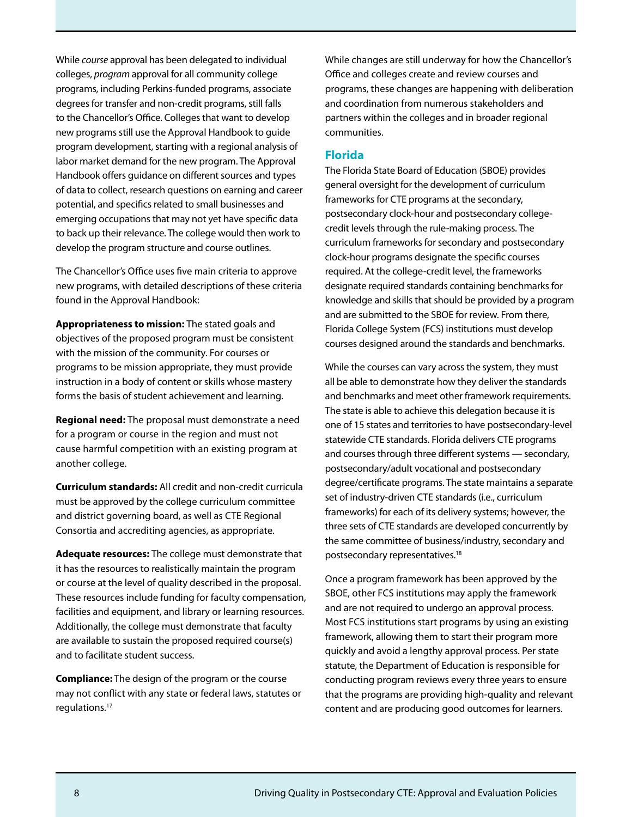While *course* approval has been delegated to individual colleges, *program* approval for all community college programs, including Perkins-funded programs, associate degrees for transfer and non-credit programs, still falls to the Chancellor's Office. Colleges that want to develop new programs still use the Approval Handbook to guide program development, starting with a regional analysis of labor market demand for the new program. The Approval Handbook offers guidance on different sources and types of data to collect, research questions on earning and career potential, and specifics related to small businesses and emerging occupations that may not yet have specific data to back up their relevance. The college would then work to develop the program structure and course outlines.

The Chancellor's Office uses five main criteria to approve new programs, with detailed descriptions of these criteria found in the Approval Handbook:

**Appropriateness to mission:** The stated goals and objectives of the proposed program must be consistent with the mission of the community. For courses or programs to be mission appropriate, they must provide instruction in a body of content or skills whose mastery forms the basis of student achievement and learning.

**Regional need:** The proposal must demonstrate a need for a program or course in the region and must not cause harmful competition with an existing program at another college.

**Curriculum standards:** All credit and non-credit curricula must be approved by the college curriculum committee and district governing board, as well as CTE Regional Consortia and accrediting agencies, as appropriate.

**Adequate resources:** The college must demonstrate that it has the resources to realistically maintain the program or course at the level of quality described in the proposal. These resources include funding for faculty compensation, facilities and equipment, and library or learning resources. Additionally, the college must demonstrate that faculty are available to sustain the proposed required course(s) and to facilitate student success.

**Compliance:** The design of the program or the course may not conflict with any state or federal laws, statutes or regulations.17

While changes are still underway for how the Chancellor's Office and colleges create and review courses and programs, these changes are happening with deliberation and coordination from numerous stakeholders and partners within the colleges and in broader regional communities.

#### **Florida**

The Florida State Board of Education (SBOE) provides general oversight for the development of curriculum frameworks for CTE programs at the secondary, postsecondary clock-hour and postsecondary collegecredit levels through the rule-making process. The curriculum frameworks for secondary and postsecondary clock-hour programs designate the specific courses required. At the college-credit level, the frameworks designate required standards containing benchmarks for knowledge and skills that should be provided by a program and are submitted to the SBOE for review. From there, Florida College System (FCS) institutions must develop courses designed around the standards and benchmarks.

While the courses can vary across the system, they must all be able to demonstrate how they deliver the standards and benchmarks and meet other framework requirements. The state is able to achieve this delegation because it is one of 15 states and territories to have postsecondary-level statewide CTE standards. Florida delivers CTE programs and courses through three different systems — secondary, postsecondary/adult vocational and postsecondary degree/certificate programs. The state maintains a separate set of industry-driven CTE standards (i.e., curriculum frameworks) for each of its delivery systems; however, the three sets of CTE standards are developed concurrently by the same committee of business/industry, secondary and postsecondary representatives.18

Once a program framework has been approved by the SBOE, other FCS institutions may apply the framework and are not required to undergo an approval process. Most FCS institutions start programs by using an existing framework, allowing them to start their program more quickly and avoid a lengthy approval process. Per state statute, the Department of Education is responsible for conducting program reviews every three years to ensure that the programs are providing high-quality and relevant content and are producing good outcomes for learners.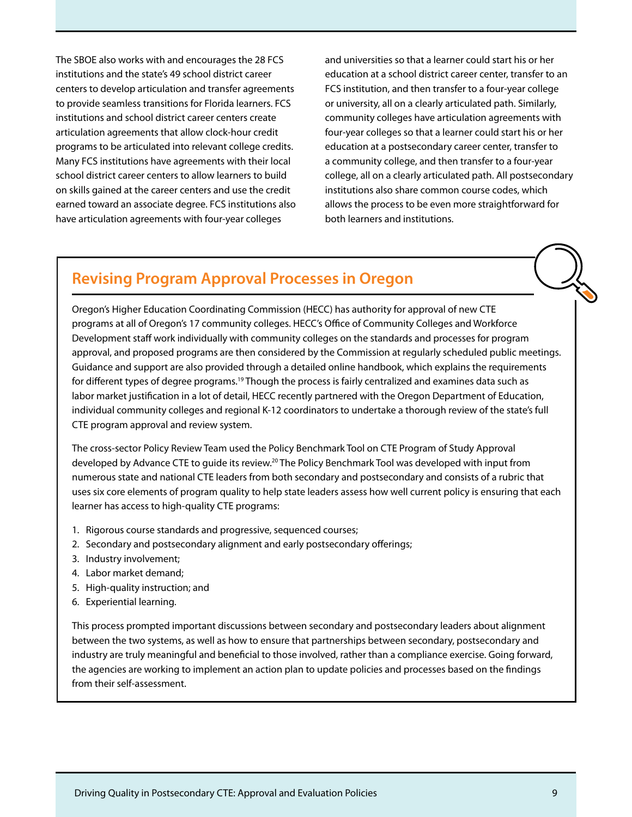The SBOE also works with and encourages the 28 FCS institutions and the state's 49 school district career centers to develop articulation and transfer agreements to provide seamless transitions for Florida learners. FCS institutions and school district career centers create articulation agreements that allow clock-hour credit programs to be articulated into relevant college credits. Many FCS institutions have agreements with their local school district career centers to allow learners to build on skills gained at the career centers and use the credit earned toward an associate degree. FCS institutions also have articulation agreements with four-year colleges

and universities so that a learner could start his or her education at a school district career center, transfer to an FCS institution, and then transfer to a four-year college or university, all on a clearly articulated path. Similarly, community colleges have articulation agreements with four-year colleges so that a learner could start his or her education at a postsecondary career center, transfer to a community college, and then transfer to a four-year college, all on a clearly articulated path. All postsecondary institutions also share common course codes, which allows the process to be even more straightforward for both learners and institutions.

### **Revising Program Approval Processes in Oregon**

Oregon's Higher Education Coordinating Commission (HECC) has authority for approval of new CTE programs at all of Oregon's 17 community colleges. HECC's Office of Community Colleges and Workforce Development staff work individually with community colleges on the standards and processes for program approval, and proposed programs are then considered by the Commission at regularly scheduled public meetings. Guidance and support are also provided through a detailed online handbook, which explains the requirements for different types of degree programs.19 Though the process is fairly centralized and examines data such as labor market justification in a lot of detail, HECC recently partnered with the Oregon Department of Education, individual community colleges and regional K-12 coordinators to undertake a thorough review of the state's full CTE program approval and review system.

The cross-sector Policy Review Team used the Policy Benchmark Tool on CTE Program of Study Approval developed by Advance CTE to guide its review.20 The Policy Benchmark Tool was developed with input from numerous state and national CTE leaders from both secondary and postsecondary and consists of a rubric that uses six core elements of program quality to help state leaders assess how well current policy is ensuring that each learner has access to high-quality CTE programs:

- 1. Rigorous course standards and progressive, sequenced courses;
- 2. Secondary and postsecondary alignment and early postsecondary offerings;
- 3. Industry involvement;
- 4. Labor market demand;
- 5. High-quality instruction; and
- 6. Experiential learning.

This process prompted important discussions between secondary and postsecondary leaders about alignment between the two systems, as well as how to ensure that partnerships between secondary, postsecondary and industry are truly meaningful and beneficial to those involved, rather than a compliance exercise. Going forward, the agencies are working to implement an action plan to update policies and processes based on the findings from their self-assessment.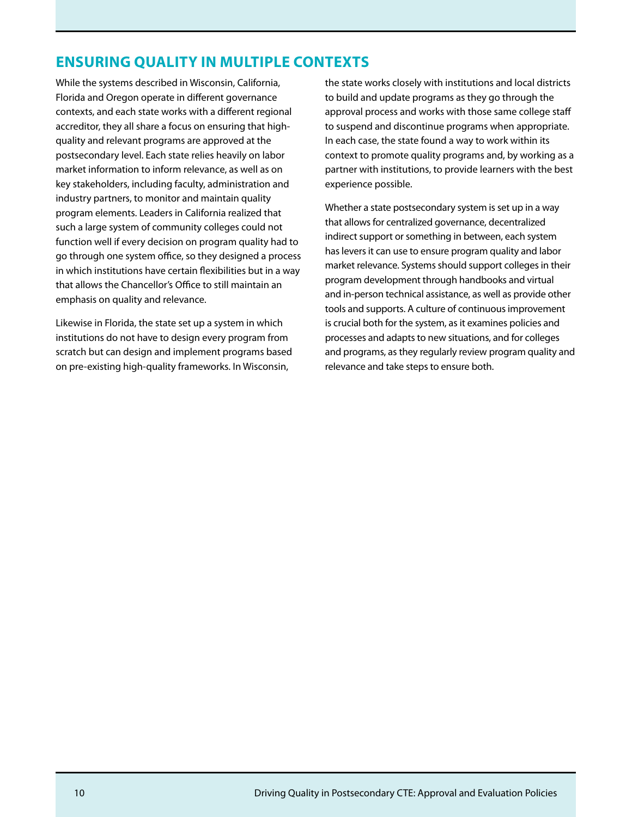### **ENSURING QUALITY IN MULTIPLE CONTEXTS**

While the systems described in Wisconsin, California, Florida and Oregon operate in different governance contexts, and each state works with a different regional accreditor, they all share a focus on ensuring that highquality and relevant programs are approved at the postsecondary level. Each state relies heavily on labor market information to inform relevance, as well as on key stakeholders, including faculty, administration and industry partners, to monitor and maintain quality program elements. Leaders in California realized that such a large system of community colleges could not function well if every decision on program quality had to go through one system office, so they designed a process in which institutions have certain flexibilities but in a way that allows the Chancellor's Office to still maintain an emphasis on quality and relevance.

Likewise in Florida, the state set up a system in which institutions do not have to design every program from scratch but can design and implement programs based on pre-existing high-quality frameworks. In Wisconsin,

the state works closely with institutions and local districts to build and update programs as they go through the approval process and works with those same college staff to suspend and discontinue programs when appropriate. In each case, the state found a way to work within its context to promote quality programs and, by working as a partner with institutions, to provide learners with the best experience possible.

Whether a state postsecondary system is set up in a way that allows for centralized governance, decentralized indirect support or something in between, each system has levers it can use to ensure program quality and labor market relevance. Systems should support colleges in their program development through handbooks and virtual and in-person technical assistance, as well as provide other tools and supports. A culture of continuous improvement is crucial both for the system, as it examines policies and processes and adapts to new situations, and for colleges and programs, as they regularly review program quality and relevance and take steps to ensure both.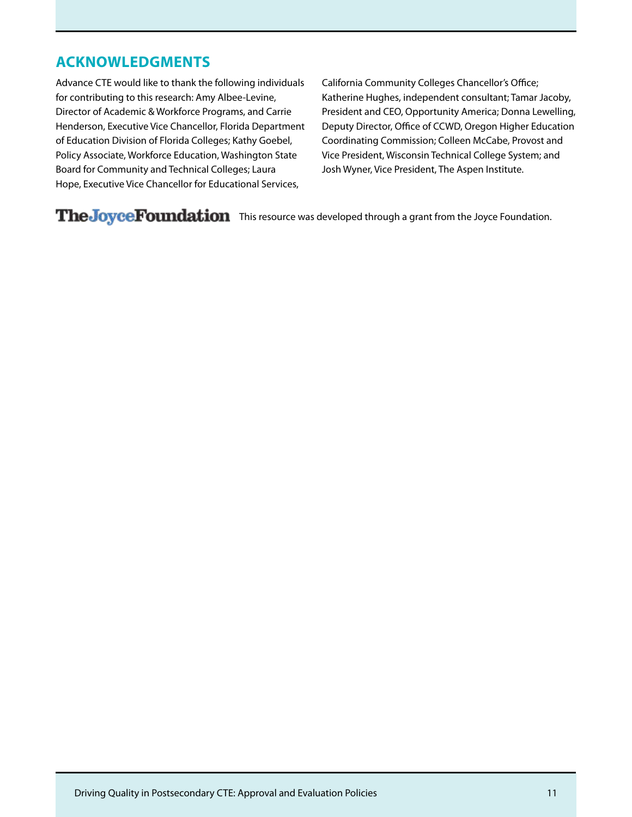### **ACKNOWLEDGMENTS**

Advance CTE would like to thank the following individuals for contributing to this research: Amy Albee-Levine, Director of Academic & Workforce Programs, and Carrie Henderson, Executive Vice Chancellor, Florida Department of Education Division of Florida Colleges; Kathy Goebel, Policy Associate, Workforce Education, Washington State Board for Community and Technical Colleges; Laura Hope, Executive Vice Chancellor for Educational Services,

California Community Colleges Chancellor's Office; Katherine Hughes, independent consultant; Tamar Jacoby, President and CEO, Opportunity America; Donna Lewelling, Deputy Director, Office of CCWD, Oregon Higher Education Coordinating Commission; Colleen McCabe, Provost and Vice President, Wisconsin Technical College System; and Josh Wyner, Vice President, The Aspen Institute.

The Joyce Foundation This resource was developed through a grant from the Joyce Foundation.